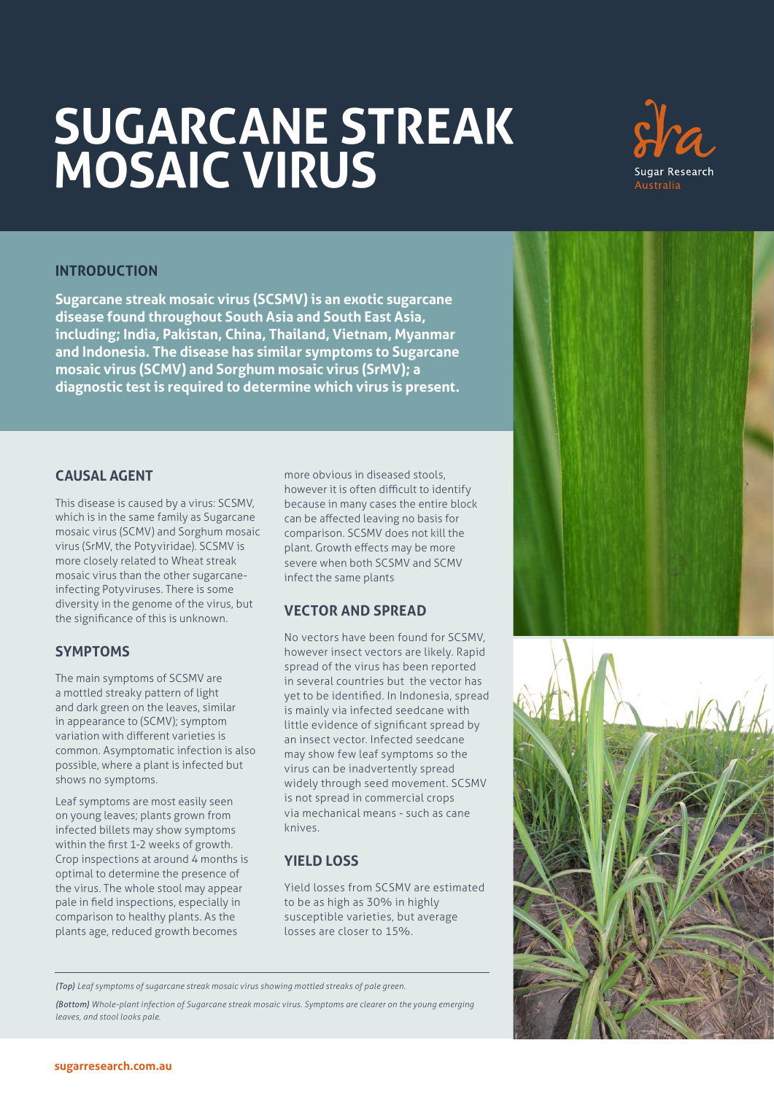# **SUGARCANE STREAK MOSAIC VIRUS**



# **INTRODUCTION**

**Sugarcane streak mosaic virus (SCSMV) is an exotic sugarcane disease found throughout South Asia and South East Asia, including; India, Pakistan, China, Thailand, Vietnam, Myanmar and Indonesia. The disease has similar symptoms to Sugarcane mosaic virus (SCMV) and Sorghum mosaic virus (SrMV); a diagnostic test is required to determine which virus is present.**

#### **CAUSAL AGENT**

This disease is caused by a virus: SCSMV, which is in the same family as Sugarcane mosaic virus (SCMV) and Sorghum mosaic virus (SrMV, the Potyviridae). SCSMV is more closely related to Wheat streak mosaic virus than the other sugarcaneinfecting Potyviruses. There is some diversity in the genome of the virus, but the significance of this is unknown.

## **SYMPTOMS**

The main symptoms of SCSMV are a mottled streaky pattern of light and dark green on the leaves, similar in appearance to (SCMV); symptom variation with different varieties is common. Asymptomatic infection is also possible, where a plant is infected but shows no symptoms.

Leaf symptoms are most easily seen on young leaves; plants grown from infected billets may show symptoms within the first 1-2 weeks of growth. Crop inspections at around 4 months is optimal to determine the presence of the virus. The whole stool may appear pale in field inspections, especially in comparison to healthy plants. As the plants age, reduced growth becomes

more obvious in diseased stools, however it is often difficult to identify because in many cases the entire block can be affected leaving no basis for comparison. SCSMV does not kill the plant. Growth effects may be more severe when both SCSMV and SCMV infect the same plants

## **VECTOR AND SPREAD**

No vectors have been found for SCSMV, however insect vectors are likely. Rapid spread of the virus has been reported in several countries but the vector has yet to be identified. In Indonesia, spread is mainly via infected seedcane with little evidence of significant spread by an insect vector. Infected seedcane may show few leaf symptoms so the virus can be inadvertently spread widely through seed movement. SCSMV is not spread in commercial crops via mechanical means - such as cane knives.

## **YIELD LOSS**

Yield losses from SCSMV are estimated to be as high as 30% in highly susceptible varieties, but average losses are closer to 15%.

*(Top) Leaf symptoms of sugarcane streak mosaic virus showing mottled streaks of pale green.*

*(Bottom) Whole-plant infection of Sugarcane streak mosaic virus. Symptoms are clearer on the young emerging leaves, and stool looks pale.*